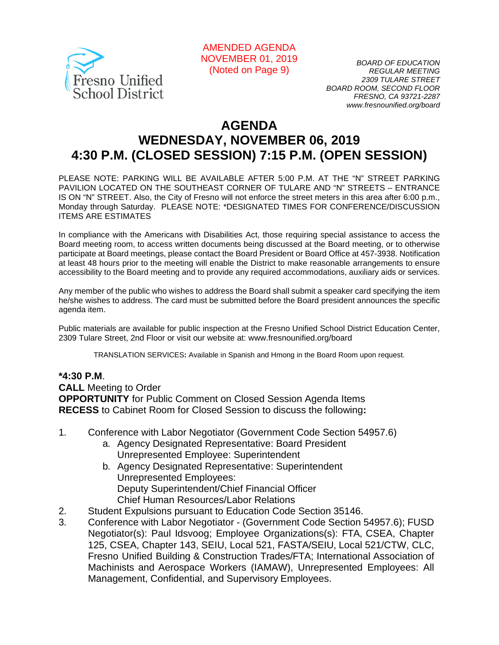

AMENDED AGENDA NOVEMBER 01, 2019 *BOARD OF EDUCATION*  (Noted on Page 9)

*2309 TULARE STREET BOARD ROOM, SECOND FLOOR FRESNO, CA 93721-2287 www.fresnounified.org/board* 

# **AGENDA WEDNESDAY, NOVEMBER 06, 2019 4:30 P.M. (CLOSED SESSION) 7:15 P.M. (OPEN SESSION)**

PLEASE NOTE: PARKING WILL BE AVAILABLE AFTER 5:00 P.M. AT THE "N" STREET PARKING PAVILION LOCATED ON THE SOUTHEAST CORNER OF TULARE AND "N" STREETS – ENTRANCE IS ON "N" STREET. Also, the City of Fresno will not enforce the street meters in this area after 6:00 p.m., Monday through Saturday. PLEASE NOTE: \*DESIGNATED TIMES FOR CONFERENCE/DISCUSSION ITEMS ARE ESTIMATES

In compliance with the Americans with Disabilities Act, those requiring special assistance to access the Board meeting room, to access written documents being discussed at the Board meeting, or to otherwise participate at Board meetings, please contact the Board President or Board Office at 457-3938. Notification at least 48 hours prior to the meeting will enable the District to make reasonable arrangements to ensure accessibility to the Board meeting and to provide any required accommodations, auxiliary aids or services.

Any member of the public who wishes to address the Board shall submit a speaker card specifying the item he/she wishes to address. The card must be submitted before the Board president announces the specific agenda item.

Public materials are available for public inspection at the Fresno Unified School District Education Center, 2309 Tulare Street, 2nd Floor or visit our website at: www.fresnounified.org/board

TRANSLATION SERVICES**:** Available in Spanish and Hmong in the Board Room upon request.

#### **\*4:30 P.M**.

**CALL** Meeting to Order **OPPORTUNITY** for Public Comment on Closed Session Agenda Items **RECESS** to Cabinet Room for Closed Session to discuss the following**:**

- 1. Conference with Labor Negotiator (Government Code Section 54957.6)
	- a. Agency Designated Representative: Board President Unrepresented Employee: Superintendent
	- b. Agency Designated Representative: Superintendent Unrepresented Employees: Deputy Superintendent/Chief Financial Officer Chief Human Resources/Labor Relations
- 2. Student Expulsions pursuant to Education Code Section 35146.
- 3. Conference with Labor Negotiator (Government Code Section 54957.6); FUSD Negotiator(s): Paul Idsvoog; Employee Organizations(s): FTA, CSEA, Chapter 125, CSEA, Chapter 143, SEIU, Local 521, FASTA/SEIU, Local 521/CTW, CLC, Fresno Unified Building & Construction Trades/FTA; International Association of Machinists and Aerospace Workers (IAMAW), Unrepresented Employees: All Management, Confidential, and Supervisory Employees.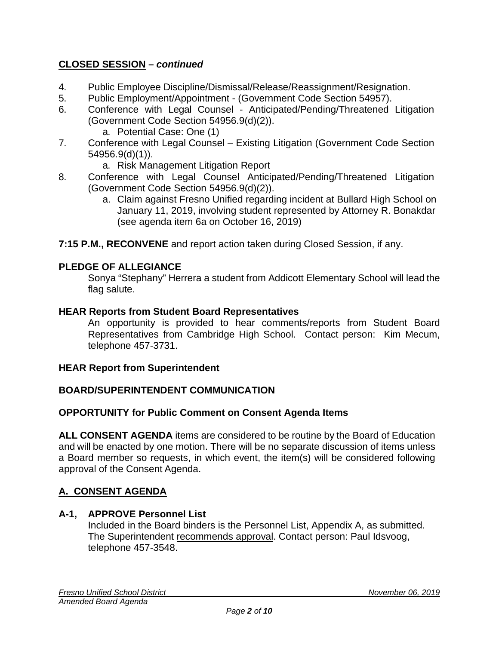# **CLOSED SESSION –** *continued*

- 4. Public Employee Discipline/Dismissal/Release/Reassignment/Resignation.
- 5. Public Employment/Appointment (Government Code Section 54957).
- 6. Conference with Legal Counsel Anticipated/Pending/Threatened Litigation (Government Code Section 54956.9(d)(2)).
	- a. Potential Case: One (1)
- 7. Conference with Legal Counsel Existing Litigation (Government Code Section 54956.9(d)(1)).
	- a. Risk Management Litigation Report
- 8. Conference with Legal Counsel Anticipated/Pending/Threatened Litigation (Government Code Section 54956.9(d)(2)).
	- a. Claim against Fresno Unified regarding incident at Bullard High School on January 11, 2019, involving student represented by Attorney R. Bonakdar (see agenda item 6a on October 16, 2019)
- **7:15 P.M., RECONVENE** and report action taken during Closed Session, if any.

### **PLEDGE OF ALLEGIANCE**

Sonya "Stephany" Herrera a student from Addicott Elementary School will lead the flag salute.

#### **HEAR Reports from Student Board Representatives**

An opportunity is provided to hear comments/reports from Student Board Representatives from Cambridge High School. Contact person: Kim Mecum, telephone 457-3731.

#### **HEAR Report from Superintendent**

#### **BOARD/SUPERINTENDENT COMMUNICATION**

#### **OPPORTUNITY for Public Comment on Consent Agenda Items**

**ALL CONSENT AGENDA** items are considered to be routine by the Board of Education and will be enacted by one motion. There will be no separate discussion of items unless a Board member so requests, in which event, the item(s) will be considered following approval of the Consent Agenda.

#### **A. CONSENT AGENDA**

#### **A-1, APPROVE Personnel List**

Included in the Board binders is the Personnel List, Appendix A, as submitted. The Superintendent recommends approval. Contact person: Paul Idsvoog, telephone 457-3548.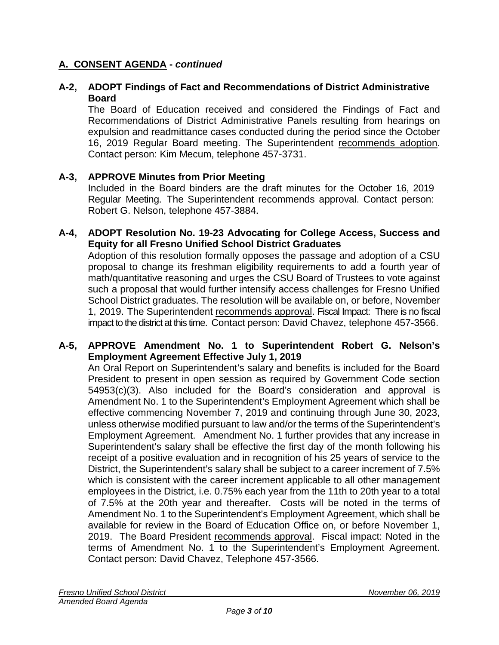### **A-2, ADOPT Findings of Fact and Recommendations of District Administrative Board**

The Board of Education received and considered the Findings of Fact and Recommendations of District Administrative Panels resulting from hearings on expulsion and readmittance cases conducted during the period since the October 16, 2019 Regular Board meeting. The Superintendent recommends adoption. Contact person: Kim Mecum, telephone 457-3731.

### **A-3, APPROVE Minutes from Prior Meeting**

Included in the Board binders are the draft minutes for the October 16, 2019 Regular Meeting. The Superintendent recommends approval. Contact person: Robert G. Nelson, telephone 457-3884.

#### **A-4, ADOPT Resolution No. 19-23 Advocating for College Access, Success and Equity for all Fresno Unified School District Graduates**

Adoption of this resolution formally opposes the passage and adoption of a CSU proposal to change its freshman eligibility requirements to add a fourth year of math/quantitative reasoning and urges the CSU Board of Trustees to vote against such a proposal that would further intensify access challenges for Fresno Unified School District graduates. The resolution will be available on, or before, November 1, 2019. The Superintendent recommends approval. Fiscal Impact: There is no fiscal impact to the district at this time. Contact person: David Chavez, telephone 457-3566.

### **A-5, APPROVE Amendment No. 1 to Superintendent Robert G. Nelson's Employment Agreement Effective July 1, 2019**

An Oral Report on Superintendent's salary and benefits is included for the Board President to present in open session as required by Government Code section 54953(c)(3). Also included for the Board's consideration and approval is Amendment No. 1 to the Superintendent's Employment Agreement which shall be effective commencing November 7, 2019 and continuing through June 30, 2023, unless otherwise modified pursuant to law and/or the terms of the Superintendent's Employment Agreement. Amendment No. 1 further provides that any increase in Superintendent's salary shall be effective the first day of the month following his receipt of a positive evaluation and in recognition of his 25 years of service to the District, the Superintendent's salary shall be subject to a career increment of 7.5% which is consistent with the career increment applicable to all other management employees in the District, i.e. 0.75% each year from the 11th to 20th year to a total of 7.5% at the 20th year and thereafter. Costs will be noted in the terms of Amendment No. 1 to the Superintendent's Employment Agreement, which shall be available for review in the Board of Education Office on, or before November 1, 2019. The Board President recommends approval. Fiscal impact: Noted in the terms of Amendment No. 1 to the Superintendent's Employment Agreement. Contact person: David Chavez, Telephone 457-3566.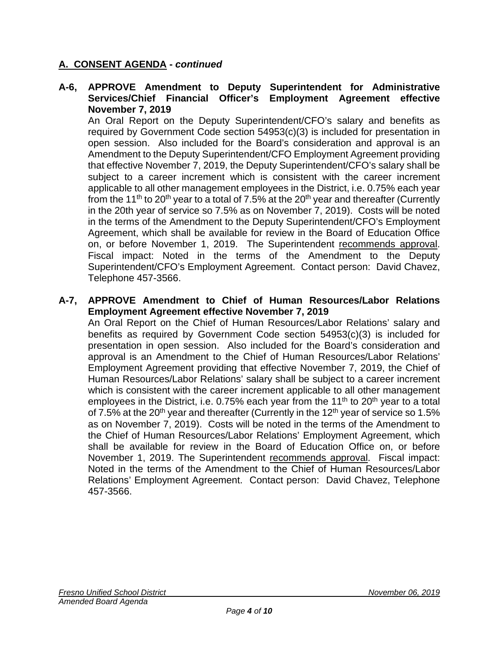#### **A-6, APPROVE Amendment to Deputy Superintendent for Administrative Services/Chief Financial Officer's Employment Agreement effective November 7, 2019**

An Oral Report on the Deputy Superintendent/CFO's salary and benefits as required by Government Code section 54953(c)(3) is included for presentation in open session. Also included for the Board's consideration and approval is an Amendment to the Deputy Superintendent/CFO Employment Agreement providing that effective November 7, 2019, the Deputy Superintendent/CFO's salary shall be subject to a career increment which is consistent with the career increment applicable to all other management employees in the District, i.e. 0.75% each year from the 11<sup>th</sup> to 20<sup>th</sup> year to a total of 7.5% at the 20<sup>th</sup> year and thereafter (Currently in the 20th year of service so 7.5% as on November 7, 2019). Costs will be noted in the terms of the Amendment to the Deputy Superintendent/CFO's Employment Agreement, which shall be available for review in the Board of Education Office on, or before November 1, 2019. The Superintendent recommends approval. Fiscal impact: Noted in the terms of the Amendment to the Deputy Superintendent/CFO's Employment Agreement. Contact person: David Chavez, Telephone 457-3566.

#### **A-7, APPROVE Amendment to Chief of Human Resources/Labor Relations Employment Agreement effective November 7, 2019**

An Oral Report on the Chief of Human Resources/Labor Relations' salary and benefits as required by Government Code section 54953(c)(3) is included for presentation in open session. Also included for the Board's consideration and approval is an Amendment to the Chief of Human Resources/Labor Relations' Employment Agreement providing that effective November 7, 2019, the Chief of Human Resources/Labor Relations' salary shall be subject to a career increment which is consistent with the career increment applicable to all other management employees in the District, i.e. 0.75% each year from the 11<sup>th</sup> to 20<sup>th</sup> year to a total of  $7.5\%$  at the 20<sup>th</sup> year and thereafter (Currently in the 12<sup>th</sup> year of service so 1.5% as on November 7, 2019). Costs will be noted in the terms of the Amendment to the Chief of Human Resources/Labor Relations' Employment Agreement, which shall be available for review in the Board of Education Office on, or before November 1, 2019. The Superintendent recommends approval. Fiscal impact: Noted in the terms of the Amendment to the Chief of Human Resources/Labor Relations' Employment Agreement. Contact person: David Chavez, Telephone 457-3566.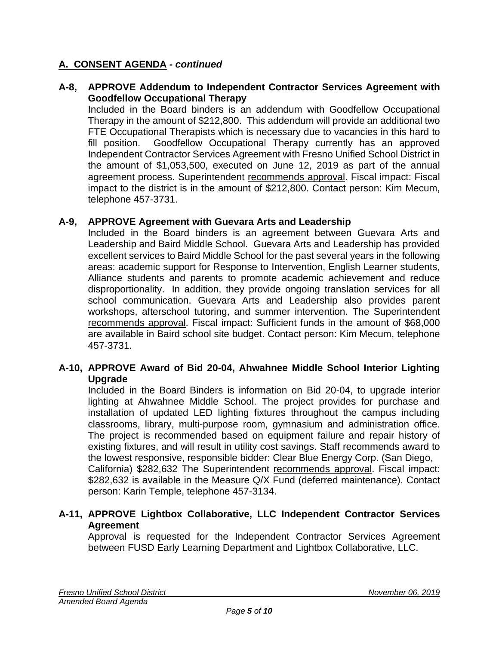### **A-8, APPROVE Addendum to Independent Contractor Services Agreement with Goodfellow Occupational Therapy**

Included in the Board binders is an addendum with Goodfellow Occupational Therapy in the amount of \$212,800. This addendum will provide an additional two FTE Occupational Therapists which is necessary due to vacancies in this hard to fill position. Goodfellow Occupational Therapy currently has an approved Independent Contractor Services Agreement with Fresno Unified School District in the amount of \$1,053,500, executed on June 12, 2019 as part of the annual agreement process. Superintendent recommends approval. Fiscal impact: Fiscal impact to the district is in the amount of \$212,800. Contact person: Kim Mecum, telephone 457-3731.

### **A-9, APPROVE Agreement with Guevara Arts and Leadership**

Included in the Board binders is an agreement between Guevara Arts and Leadership and Baird Middle School. Guevara Arts and Leadership has provided excellent services to Baird Middle School for the past several years in the following areas: academic support for Response to Intervention, English Learner students, Alliance students and parents to promote academic achievement and reduce disproportionality. In addition, they provide ongoing translation services for all school communication. Guevara Arts and Leadership also provides parent workshops, afterschool tutoring, and summer intervention. The Superintendent recommends approval. Fiscal impact: Sufficient funds in the amount of \$68,000 are available in Baird school site budget. Contact person: Kim Mecum, telephone 457-3731.

### **A-10, APPROVE Award of Bid 20-04, Ahwahnee Middle School Interior Lighting Upgrade**

Included in the Board Binders is information on Bid 20-04, to upgrade interior lighting at Ahwahnee Middle School. The project provides for purchase and installation of updated LED lighting fixtures throughout the campus including classrooms, library, multi-purpose room, gymnasium and administration office. The project is recommended based on equipment failure and repair history of existing fixtures, and will result in utility cost savings. Staff recommends award to the lowest responsive, responsible bidder: Clear Blue Energy Corp. (San Diego, California) \$282,632 The Superintendent recommends approval. Fiscal impact: \$282,632 is available in the Measure Q/X Fund (deferred maintenance). Contact person: Karin Temple, telephone 457-3134.

### **A-11, APPROVE Lightbox Collaborative, LLC Independent Contractor Services Agreement**

Approval is requested for the Independent Contractor Services Agreement between FUSD Early Learning Department and Lightbox Collaborative, LLC.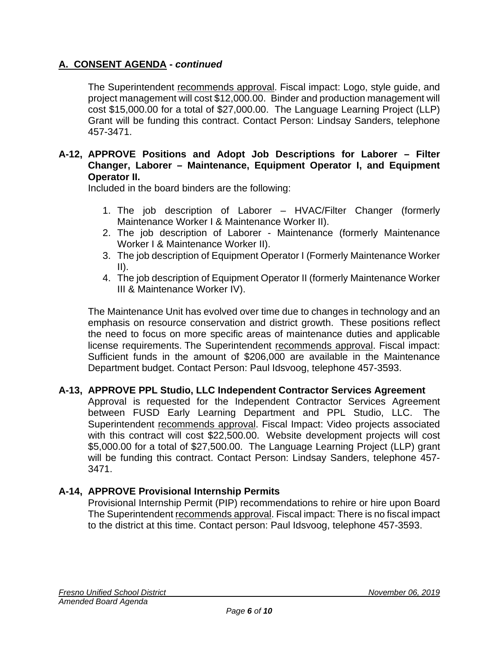The Superintendent recommends approval. Fiscal impact: Logo, style guide, and project management will cost \$12,000.00. Binder and production management will cost \$15,000.00 for a total of \$27,000.00. The Language Learning Project (LLP) Grant will be funding this contract. Contact Person: Lindsay Sanders, telephone 457-3471.

### **A-12, APPROVE Positions and Adopt Job Descriptions for Laborer – Filter Changer, Laborer – Maintenance, Equipment Operator I, and Equipment Operator II.**

Included in the board binders are the following:

- 1. The job description of Laborer HVAC/Filter Changer (formerly Maintenance Worker I & Maintenance Worker II).
- 2. The job description of Laborer Maintenance (formerly Maintenance Worker I & Maintenance Worker II).
- 3. The job description of Equipment Operator I (Formerly Maintenance Worker II).
- 4. The job description of Equipment Operator II (formerly Maintenance Worker III & Maintenance Worker IV).

The Maintenance Unit has evolved over time due to changes in technology and an emphasis on resource conservation and district growth. These positions reflect the need to focus on more specific areas of maintenance duties and applicable license requirements. The Superintendent recommends approval. Fiscal impact: Sufficient funds in the amount of \$206,000 are available in the Maintenance Department budget. Contact Person: Paul Idsvoog, telephone 457-3593.

### **A-13, APPROVE PPL Studio, LLC Independent Contractor Services Agreement**

Approval is requested for the Independent Contractor Services Agreement between FUSD Early Learning Department and PPL Studio, LLC. The Superintendent recommends approval. Fiscal Impact: Video projects associated with this contract will cost \$22,500.00. Website development projects will cost \$5,000.00 for a total of \$27,500.00. The Language Learning Project (LLP) grant will be funding this contract. Contact Person: Lindsay Sanders, telephone 457- 3471.

### **A-14, APPROVE Provisional Internship Permits**

Provisional Internship Permit (PIP) recommendations to rehire or hire upon Board The Superintendent recommends approval. Fiscal impact: There is no fiscal impact to the district at this time. Contact person: Paul Idsvoog, telephone 457-3593.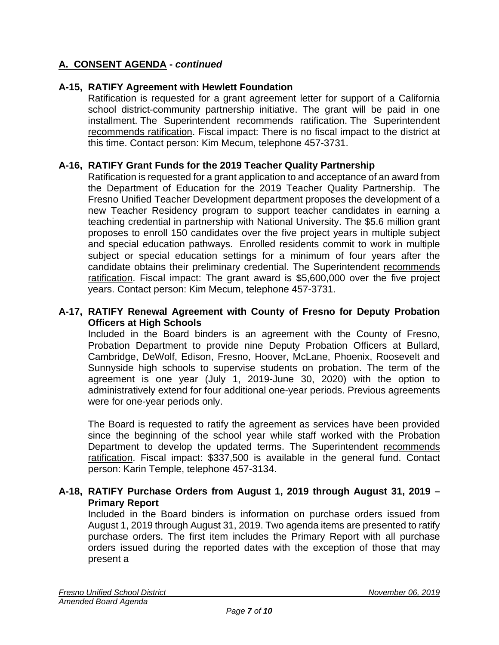### **A-15, RATIFY Agreement with Hewlett Foundation**

Ratification is requested for a grant agreement letter for support of a California school district-community partnership initiative. The grant will be paid in one installment. The Superintendent recommends ratification. The Superintendent recommends ratification. Fiscal impact: There is no fiscal impact to the district at this time. Contact person: Kim Mecum, telephone 457-3731.

### **A-16, RATIFY Grant Funds for the 2019 Teacher Quality Partnership**

Ratification is requested for a grant application to and acceptance of an award from the Department of Education for the 2019 Teacher Quality Partnership. The Fresno Unified Teacher Development department proposes the development of a new Teacher Residency program to support teacher candidates in earning a teaching credential in partnership with National University. The \$5.6 million grant proposes to enroll 150 candidates over the five project years in multiple subject and special education pathways. Enrolled residents commit to work in multiple subject or special education settings for a minimum of four years after the candidate obtains their preliminary credential. The Superintendent recommends ratification. Fiscal impact: The grant award is \$5,600,000 over the five project years. Contact person: Kim Mecum, telephone 457-3731.

#### **A-17, RATIFY Renewal Agreement with County of Fresno for Deputy Probation Officers at High Schools**

Included in the Board binders is an agreement with the County of Fresno, Probation Department to provide nine Deputy Probation Officers at Bullard, Cambridge, DeWolf, Edison, Fresno, Hoover, McLane, Phoenix, Roosevelt and Sunnyside high schools to supervise students on probation. The term of the agreement is one year (July 1, 2019-June 30, 2020) with the option to administratively extend for four additional one-year periods. Previous agreements were for one-year periods only.

The Board is requested to ratify the agreement as services have been provided since the beginning of the school year while staff worked with the Probation Department to develop the updated terms. The Superintendent recommends ratification. Fiscal impact: \$337,500 is available in the general fund. Contact person: Karin Temple, telephone 457-3134.

### **A-18, RATIFY Purchase Orders from August 1, 2019 through August 31, 2019 – Primary Report**

Included in the Board binders is information on purchase orders issued from August 1, 2019 through August 31, 2019. Two agenda items are presented to ratify purchase orders. The first item includes the Primary Report with all purchase orders issued during the reported dates with the exception of those that may present a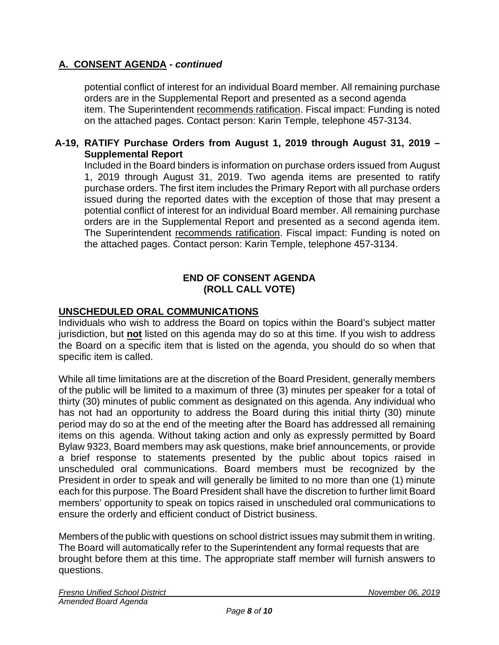potential conflict of interest for an individual Board member. All remaining purchase orders are in the Supplemental Report and presented as a second agenda item. The Superintendent recommends ratification. Fiscal impact: Funding is noted on the attached pages. Contact person: Karin Temple, telephone 457-3134.

### **A-19, RATIFY Purchase Orders from August 1, 2019 through August 31, 2019 – Supplemental Report**

Included in the Board binders is information on purchase orders issued from August 1, 2019 through August 31, 2019. Two agenda items are presented to ratify purchase orders. The first item includes the Primary Report with all purchase orders issued during the reported dates with the exception of those that may present a potential conflict of interest for an individual Board member. All remaining purchase orders are in the Supplemental Report and presented as a second agenda item. The Superintendent recommends ratification. Fiscal impact: Funding is noted on the attached pages. Contact person: Karin Temple, telephone 457-3134.

### **END OF CONSENT AGENDA (ROLL CALL VOTE)**

### **UNSCHEDULED ORAL COMMUNICATIONS**

Individuals who wish to address the Board on topics within the Board's subject matter jurisdiction, but **not** listed on this agenda may do so at this time. If you wish to address the Board on a specific item that is listed on the agenda, you should do so when that specific item is called.

While all time limitations are at the discretion of the Board President, generally members of the public will be limited to a maximum of three (3) minutes per speaker for a total of thirty (30) minutes of public comment as designated on this agenda. Any individual who has not had an opportunity to address the Board during this initial thirty (30) minute period may do so at the end of the meeting after the Board has addressed all remaining items on this agenda. Without taking action and only as expressly permitted by Board Bylaw 9323, Board members may ask questions, make brief announcements, or provide a brief response to statements presented by the public about topics raised in unscheduled oral communications. Board members must be recognized by the President in order to speak and will generally be limited to no more than one (1) minute each for this purpose. The Board President shall have the discretion to further limit Board members' opportunity to speak on topics raised in unscheduled oral communications to ensure the orderly and efficient conduct of District business.

Members of the public with questions on school district issues may submit them in writing. The Board will automatically refer to the Superintendent any formal requests that are brought before them at this time. The appropriate staff member will furnish answers to questions.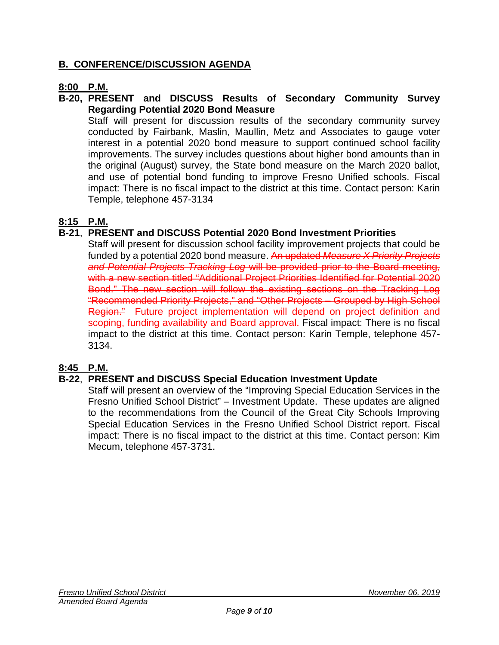# **B. CONFERENCE/DISCUSSION AGENDA**

# **8:00 P.M.**

### **B-20, PRESENT and DISCUSS Results of Secondary Community Survey Regarding Potential 2020 Bond Measure**

Staff will present for discussion results of the secondary community survey conducted by Fairbank, Maslin, Maullin, Metz and Associates to gauge voter interest in a potential 2020 bond measure to support continued school facility improvements. The survey includes questions about higher bond amounts than in the original (August) survey, the State bond measure on the March 2020 ballot, and use of potential bond funding to improve Fresno Unified schools. Fiscal impact: There is no fiscal impact to the district at this time. Contact person: Karin Temple, telephone 457-3134

# **8:15 P.M.**

# **B-21**, **PRESENT and DISCUSS Potential 2020 Bond Investment Priorities**

Staff will present for discussion school facility improvement projects that could be funded by a potential 2020 bond measure. An updated *Measure X Priority Projects and Potential Projects Tracking Log* will be provided prior to the Board meeting, with a new section titled "Additional Project Priorities Identified for Potential 2020 Bond." The new section will follow the existing sections on the Tracking Log "Recommended Priority Projects," and "Other Projects – Grouped by High School Region." Future project implementation will depend on project definition and scoping, funding availability and Board approval. Fiscal impact: There is no fiscal impact to the district at this time. Contact person: Karin Temple, telephone 457- 3134.

### **8:45 P.M.**

### **B-22**, **PRESENT and DISCUSS Special Education Investment Update**

Staff will present an overview of the "Improving Special Education Services in the Fresno Unified School District" – Investment Update. These updates are aligned to the recommendations from the Council of the Great City Schools Improving Special Education Services in the Fresno Unified School District report. Fiscal impact: There is no fiscal impact to the district at this time. Contact person: Kim Mecum, telephone 457-3731.